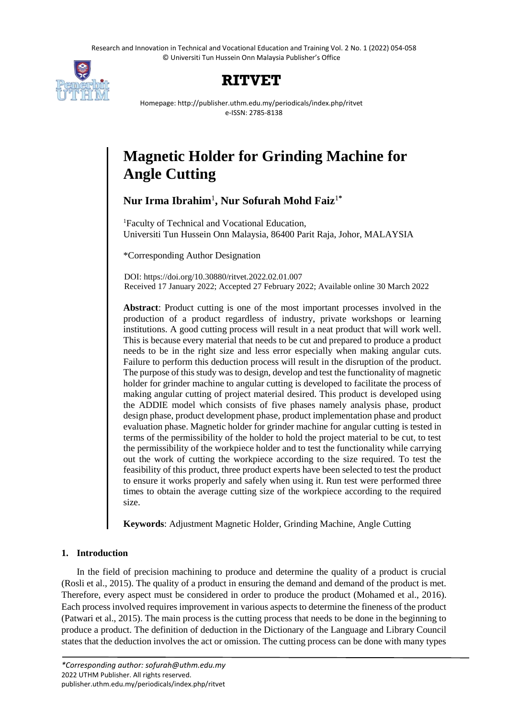Research and Innovation in Technical and Vocational Education and Training Vol. 2 No. 1 (2022) 054-058 © Universiti Tun Hussein Onn Malaysia Publisher's Office



# **RITVET**

Homepage: http://publisher.uthm.edu.my/periodicals/index.php/ritvet e-ISSN: 2785-8138

# **Magnetic Holder for Grinding Machine for Angle Cutting**

**Nur Irma Ibrahim**<sup>1</sup> **, Nur Sofurah Mohd Faiz**<sup>1</sup>**\***

<sup>1</sup>Faculty of Technical and Vocational Education, Universiti Tun Hussein Onn Malaysia, 86400 Parit Raja, Johor, MALAYSIA

\*Corresponding Author Designation

DOI: https://doi.org/10.30880/ritvet.2022.02.01.007 Received 17 January 2022; Accepted 27 February 2022; Available online 30 March 2022

**Abstract**: Product cutting is one of the most important processes involved in the production of a product regardless of industry, private workshops or learning institutions. A good cutting process will result in a neat product that will work well. This is because every material that needs to be cut and prepared to produce a product needs to be in the right size and less error especially when making angular cuts. Failure to perform this deduction process will result in the disruption of the product. The purpose of this study was to design, develop and test the functionality of magnetic holder for grinder machine to angular cutting is developed to facilitate the process of making angular cutting of project material desired. This product is developed using the ADDIE model which consists of five phases namely analysis phase, product design phase, product development phase, product implementation phase and product evaluation phase. Magnetic holder for grinder machine for angular cutting is tested in terms of the permissibility of the holder to hold the project material to be cut, to test the permissibility of the workpiece holder and to test the functionality while carrying out the work of cutting the workpiece according to the size required. To test the feasibility of this product, three product experts have been selected to test the product to ensure it works properly and safely when using it. Run test were performed three times to obtain the average cutting size of the workpiece according to the required size.

**Keywords**: Adjustment Magnetic Holder, Grinding Machine, Angle Cutting

# **1. Introduction**

In the field of precision machining to produce and determine the quality of a product is crucial (Rosli et al., 2015). The quality of a product in ensuring the demand and demand of the product is met. Therefore, every aspect must be considered in order to produce the product (Mohamed et al., 2016). Each process involved requires improvement in various aspects to determine the fineness of the product (Patwari et al., 2015). The main process is the cutting process that needs to be done in the beginning to produce a product. The definition of deduction in the Dictionary of the Language and Library Council states that the deduction involves the act or omission. The cutting process can be done with many types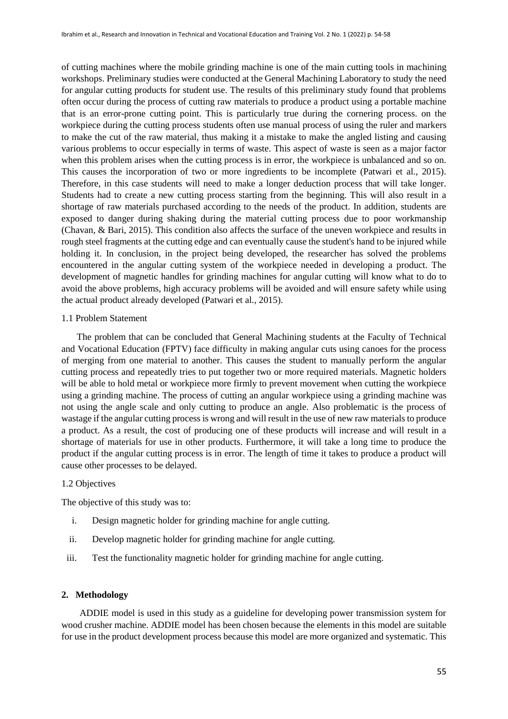of cutting machines where the mobile grinding machine is one of the main cutting tools in machining workshops. Preliminary studies were conducted at the General Machining Laboratory to study the need for angular cutting products for student use. The results of this preliminary study found that problems often occur during the process of cutting raw materials to produce a product using a portable machine that is an error-prone cutting point. This is particularly true during the cornering process. on the workpiece during the cutting process students often use manual process of using the ruler and markers to make the cut of the raw material, thus making it a mistake to make the angled listing and causing various problems to occur especially in terms of waste. This aspect of waste is seen as a major factor when this problem arises when the cutting process is in error, the workpiece is unbalanced and so on. This causes the incorporation of two or more ingredients to be incomplete (Patwari et al., 2015). Therefore, in this case students will need to make a longer deduction process that will take longer. Students had to create a new cutting process starting from the beginning. This will also result in a shortage of raw materials purchased according to the needs of the product. In addition, students are exposed to danger during shaking during the material cutting process due to poor workmanship (Chavan, & Bari, 2015). This condition also affects the surface of the uneven workpiece and results in rough steel fragments at the cutting edge and can eventually cause the student's hand to be injured while holding it. In conclusion, in the project being developed, the researcher has solved the problems encountered in the angular cutting system of the workpiece needed in developing a product. The development of magnetic handles for grinding machines for angular cutting will know what to do to avoid the above problems, high accuracy problems will be avoided and will ensure safety while using the actual product already developed (Patwari et al., 2015).

#### 1.1 Problem Statement

The problem that can be concluded that General Machining students at the Faculty of Technical and Vocational Education (FPTV) face difficulty in making angular cuts using canoes for the process of merging from one material to another. This causes the student to manually perform the angular cutting process and repeatedly tries to put together two or more required materials. Magnetic holders will be able to hold metal or workpiece more firmly to prevent movement when cutting the workpiece using a grinding machine. The process of cutting an angular workpiece using a grinding machine was not using the angle scale and only cutting to produce an angle. Also problematic is the process of wastage if the angular cutting process is wrong and will result in the use of new raw materials to produce a product. As a result, the cost of producing one of these products will increase and will result in a shortage of materials for use in other products. Furthermore, it will take a long time to produce the product if the angular cutting process is in error. The length of time it takes to produce a product will cause other processes to be delayed.

#### 1.2 Objectives

The objective of this study was to:

- i. Design magnetic holder for grinding machine for angle cutting.
- ii. Develop magnetic holder for grinding machine for angle cutting.
- iii. Test the functionality magnetic holder for grinding machine for angle cutting.

#### **2. Methodology**

ADDIE model is used in this study as a guideline for developing power transmission system for wood crusher machine. ADDIE model has been chosen because the elements in this model are suitable for use in the product development process because this model are more organized and systematic. This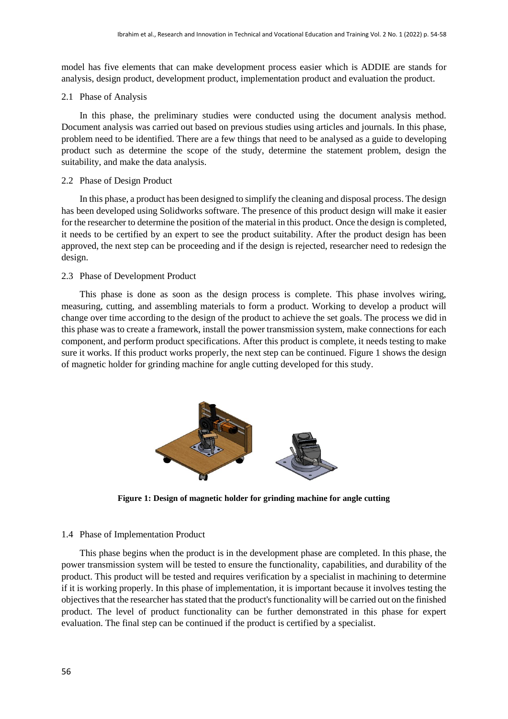model has five elements that can make development process easier which is ADDIE are stands for analysis, design product, development product, implementation product and evaluation the product.

#### 2.1 Phase of Analysis

In this phase, the preliminary studies were conducted using the document analysis method. Document analysis was carried out based on previous studies using articles and journals. In this phase, problem need to be identified. There are a few things that need to be analysed as a guide to developing product such as determine the scope of the study, determine the statement problem, design the suitability, and make the data analysis.

# 2.2 Phase of Design Product

In this phase, a product has been designed to simplify the cleaning and disposal process. The design has been developed using Solidworks software. The presence of this product design will make it easier for the researcher to determine the position of the material in this product. Once the design is completed, it needs to be certified by an expert to see the product suitability. After the product design has been approved, the next step can be proceeding and if the design is rejected, researcher need to redesign the design.

# 2.3 Phase of Development Product

This phase is done as soon as the design process is complete. This phase involves wiring, measuring, cutting, and assembling materials to form a product. Working to develop a product will change over time according to the design of the product to achieve the set goals. The process we did in this phase was to create a framework, install the power transmission system, make connections for each component, and perform product specifications. After this product is complete, it needs testing to make sure it works. If this product works properly, the next step can be continued. Figure 1 shows the design of magnetic holder for grinding machine for angle cutting developed for this study.



**Figure 1: Design of magnetic holder for grinding machine for angle cutting**

#### 1.4 Phase of Implementation Product

This phase begins when the product is in the development phase are completed. In this phase, the power transmission system will be tested to ensure the functionality, capabilities, and durability of the product. This product will be tested and requires verification by a specialist in machining to determine if it is working properly. In this phase of implementation, it is important because it involves testing the objectives that the researcher has stated that the product's functionality will be carried out on the finished product. The level of product functionality can be further demonstrated in this phase for expert evaluation. The final step can be continued if the product is certified by a specialist.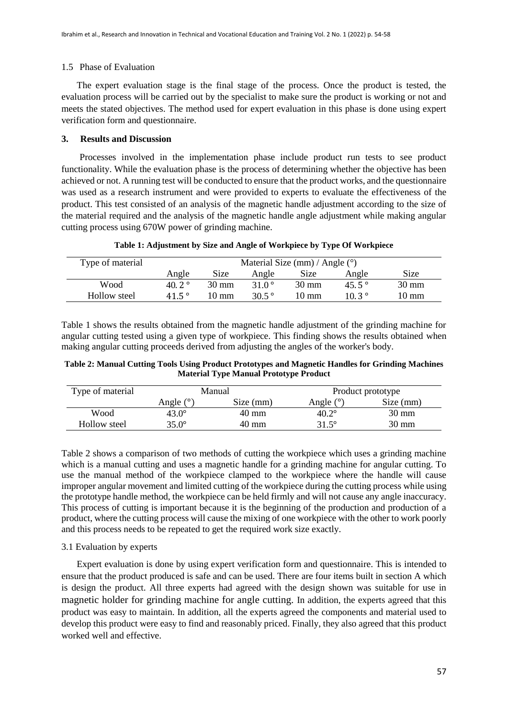# 1.5 Phase of Evaluation

The expert evaluation stage is the final stage of the process. Once the product is tested, the evaluation process will be carried out by the specialist to make sure the product is working or not and meets the stated objectives. The method used for expert evaluation in this phase is done using expert verification form and questionnaire.

#### **3. Results and Discussion**

Processes involved in the implementation phase include product run tests to see product functionality. While the evaluation phase is the process of determining whether the objective has been achieved or not. A running test will be conducted to ensure that the product works, and the questionnaire was used as a research instrument and were provided to experts to evaluate the effectiveness of the product. This test consisted of an analysis of the magnetic handle adjustment according to the size of the material required and the analysis of the magnetic handle angle adjustment while making angular cutting process using 670W power of grinding machine.

**Table 1: Adjustment by Size and Angle of Workpiece by Type Of Workpiece**

| Type of material | Material Size (mm) / Angle $(°)$ |             |                |                 |                 |                 |  |
|------------------|----------------------------------|-------------|----------------|-----------------|-----------------|-----------------|--|
|                  | Angle                            | <b>Size</b> | Angle          | Size            | Angle           | <b>Size</b>     |  |
| Wood             | 40.2 $^{\circ}$                  | 30 mm       | 31 $0^{\circ}$ | $30 \text{ mm}$ | 45.5 $^{\circ}$ | $30 \text{ mm}$ |  |
| Hollow steel     | 41.5 $^{\circ}$                  | 10 mm       | 30.5 $\degree$ | $10 \text{ mm}$ | $10.3^{\circ}$  | 10 mm           |  |

Table 1 shows the results obtained from the magnetic handle adjustment of the grinding machine for angular cutting tested using a given type of workpiece. This finding shows the results obtained when making angular cutting proceeds derived from adjusting the angles of the worker's body.

**Table 2: Manual Cutting Tools Using Product Prototypes and Magnetic Handles for Grinding Machines Material Type Manual Prototype Product**

| Type of material |                       | Manual    | Product prototype |                 |  |
|------------------|-----------------------|-----------|-------------------|-----------------|--|
|                  | Angle $\int^{\infty}$ | Size (mm) | Angle $(^\circ)$  | Size (mm)       |  |
| Wood             | $43.0^\circ$          | 40 mm     | $40.2^\circ$      | $30 \text{ mm}$ |  |
| Hollow steel     | $35.0^\circ$          | 40 mm     | 31.5°             | 30 mm           |  |

Table 2 shows a comparison of two methods of cutting the workpiece which uses a grinding machine which is a manual cutting and uses a magnetic handle for a grinding machine for angular cutting. To use the manual method of the workpiece clamped to the workpiece where the handle will cause improper angular movement and limited cutting of the workpiece during the cutting process while using the prototype handle method, the workpiece can be held firmly and will not cause any angle inaccuracy. This process of cutting is important because it is the beginning of the production and production of a product, where the cutting process will cause the mixing of one workpiece with the other to work poorly and this process needs to be repeated to get the required work size exactly.

# 3.1 Evaluation by experts

Expert evaluation is done by using expert verification form and questionnaire. This is intended to ensure that the product produced is safe and can be used. There are four items built in section A which is design the product. All three experts had agreed with the design shown was suitable for use in magnetic holder for grinding machine for angle cutting. In addition, the experts agreed that this product was easy to maintain. In addition, all the experts agreed the components and material used to develop this product were easy to find and reasonably priced. Finally, they also agreed that this product worked well and effective.